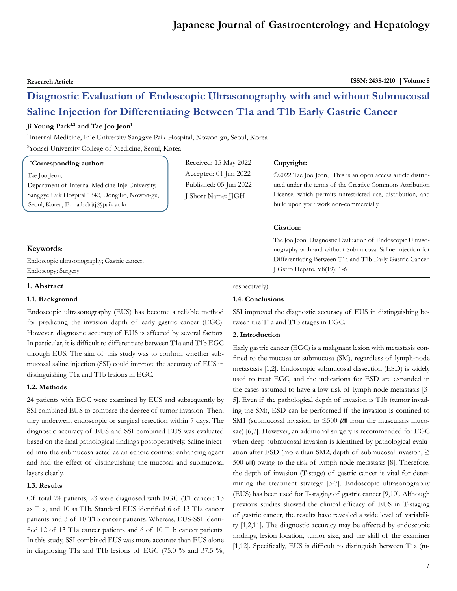**Research Article ISSN: 2435-1210 | Volume 8** 

## **Diagnostic Evaluation of Endoscopic Ultrasonography with and without Submucosal Saline Injection for Differentiating Between T1a and T1b Early Gastric Cancer**

#### Ji Young Park<sup>1,2</sup> and Tae Joo Jeon<sup>1</sup>

1 Internal Medicine, Inje University Sanggye Paik Hospital, Nowon-gu, Seoul, Korea

2 Yonsei University College of Medicine, Seoul, Korea

#### **\* Corresponding author:**

Tae Joo Jeon,

Department of Internal Medicine Inje University, Sanggye Paik Hospital 1342, Dongilro, Nowon-gu, Seoul, Korea, E-mail: drjtj@paik.ac.kr

### Received: 15 May 2022 Accepted: 01 Jun 2022 Published: 05 Jun 2022 J Short Name: JJGH

#### **Copyright:**

©2022 Tae Joo Jeon, This is an open access article distributed under the terms of the Creative Commons Attribution License, which permits unrestricted use, distribution, and build upon your work non-commercially.

#### **Citation:**

Tae Joo Jeon. Diagnostic Evaluation of Endoscopic Ultrasonography with and without Submucosal Saline Injection for Differentiating Between T1a and T1b Early Gastric Cancer. J Gstro Hepato. V8(19): 1-6

# **Keywords**:

Endoscopic ultrasonography; Gastric cancer; Endoscopy; Surgery

#### **1. Abstract**

#### **1.1. Background**

Endoscopic ultrasonography (EUS) has become a reliable method for predicting the invasion depth of early gastric cancer (EGC). However, diagnostic accuracy of EUS is affected by several factors. In particular, it is difficult to differentiate between T1a and T1b EGC through EUS. The aim of this study was to confirm whether submucosal saline injection (SSI) could improve the accuracy of EUS in distinguishing T1a and T1b lesions in EGC.

#### **1.2. Methods**

24 patients with EGC were examined by EUS and subsequently by SSI combined EUS to compare the degree of tumor invasion. Then, they underwent endoscopic or surgical resection within 7 days. The diagnostic accuracy of EUS and SSI combined EUS was evaluated based on the final pathological findings postoperatively. Saline injected into the submucosa acted as an echoic contrast enhancing agent and had the effect of distinguishing the mucosal and submucosal layers clearly.

#### **1.3. Results**

Of total 24 patients, 23 were diagnosed with EGC (T1 cancer: 13 as T1a, and 10 as T1b. Standard EUS identified 6 of 13 T1a cancer patients and 3 of 10 T1b cancer patients. Whereas, EUS-SSI identified 12 of 13 T1a cancer patients and 6 of 10 T1b cancer patients. In this study, SSI combined EUS was more accurate than EUS alone in diagnosing T1a and T1b lesions of EGC (75.0 % and 37.5 %,

### respectively).

#### **1.4. Conclusions**

SSI improved the diagnostic accuracy of EUS in distinguishing between the T1a and T1b stages in EGC.

#### **2. Introduction**

Early gastric cancer (EGC) is a malignant lesion with metastasis confined to the mucosa or submucosa (SM), regardless of lymph-node metastasis [1,2]. Endoscopic submucosal dissection (ESD) is widely used to treat EGC, and the indications for ESD are expanded in the cases assumed to have a low risk of lymph-node metastasis [3- 5]. Even if the pathological depth of invasion is T1b (tumor invading the SM), ESD can be performed if the invasion is confined to SM1 (submucosal invasion to  $\leq 500 \mu m$  from the muscularis mucosae) [6,7]. However, an additional surgery is recommended for EGC when deep submucosal invasion is identified by pathological evaluation after ESD (more than SM2; depth of submucosal invasion,  $\geq$ 500  $\mu$ m) owing to the risk of lymph-node metastasis [8]. Therefore, the depth of invasion (T-stage) of gastric cancer is vital for determining the treatment strategy [3-7]. Endoscopic ultrasonography (EUS) has been used for T-staging of gastric cancer [9,10]. Although previous studies showed the clinical efficacy of EUS in T-staging of gastric cancer, the results have revealed a wide level of variability [1,2,11]. The diagnostic accuracy may be affected by endoscopic findings, lesion location, tumor size, and the skill of the examiner [1,12]. Specifically, EUS is difficult to distinguish between T1a (tu-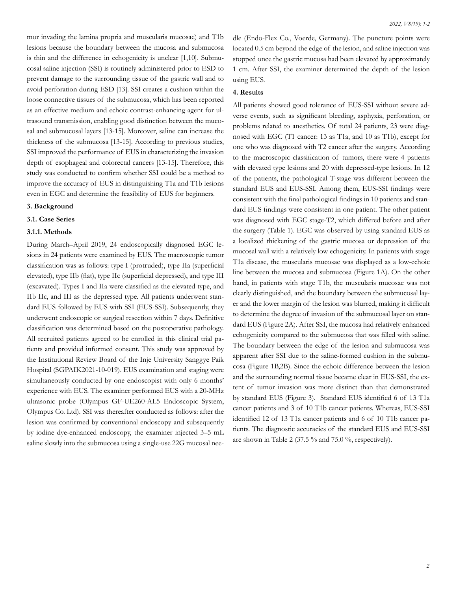mor invading the lamina propria and muscularis mucosae) and T1b lesions because the boundary between the mucosa and submucosa is thin and the difference in echogenicity is unclear [1,10]. Submucosal saline injection (SSI) is routinely administered prior to ESD to prevent damage to the surrounding tissue of the gastric wall and to avoid perforation during ESD [13]. SSI creates a cushion within the loose connective tissues of the submucosa, which has been reported as an effective medium and echoic contrast-enhancing agent for ultrasound transmission, enabling good distinction between the mucosal and submucosal layers [13-15]. Moreover, saline can increase the thickness of the submucosa [13-15]. According to previous studies, SSI improved the performance of EUS in characterizing the invasion depth of esophageal and colorectal cancers [13-15]. Therefore, this study was conducted to confirm whether SSI could be a method to improve the accuracy of EUS in distinguishing T1a and T1b lesions even in EGC and determine the feasibility of EUS for beginners.

#### **3. Background**

#### **3.1. Case Series**

#### **3.1.1. Methods**

During March–April 2019, 24 endoscopically diagnosed EGC lesions in 24 patients were examined by EUS. The macroscopic tumor classification was as follows: type I (protruded), type IIa (superficial elevated), type IIb (flat), type IIc (superficial depressed), and type III (excavated). Types I and IIa were classified as the elevated type, and IIb IIc, and III as the depressed type. All patients underwent standard EUS followed by EUS with SSI (EUS-SSI). Subsequently, they underwent endoscopic or surgical resection within 7 days. Definitive classification was determined based on the postoperative pathology. All recruited patients agreed to be enrolled in this clinical trial patients and provided informed consent. This study was approved by the Institutional Review Board of the Inje University Sanggye Paik Hospital (SGPAIK2021-10-019). EUS examination and staging were simultaneously conducted by one endoscopist with only 6 months' experience with EUS. The examiner performed EUS with a 20-MHz ultrasonic probe (Olympus GF-UE260-AL5 Endoscopic System, Olympus Co. Ltd). SSI was thereafter conducted as follows: after the lesion was confirmed by conventional endoscopy and subsequently by iodine dye-enhanced endoscopy, the examiner injected 3–5 mL saline slowly into the submucosa using a single-use 22G mucosal needle (Endo-Flex Co., Voerde, Germany). The puncture points were located 0.5 cm beyond the edge of the lesion, and saline injection was stopped once the gastric mucosa had been elevated by approximately 1 cm. After SSI, the examiner determined the depth of the lesion using EUS.

#### **4. Results**

All patients showed good tolerance of EUS-SSI without severe adverse events, such as significant bleeding, asphyxia, perforation, or problems related to anesthetics. Of total 24 patients, 23 were diagnosed with EGC (T1 cancer: 13 as T1a, and 10 as T1b), except for one who was diagnosed with T2 cancer after the surgery. According to the macroscopic classification of tumors, there were 4 patients with elevated type lesions and 20 with depressed-type lesions. In 12 of the patients, the pathological T-stage was different between the standard EUS and EUS-SSI. Among them, EUS-SSI findings were consistent with the final pathological findings in 10 patients and standard EUS findings were consistent in one patient. The other patient was diagnosed with EGC stage-T2, which differed before and after the surgery (Table 1). EGC was observed by using standard EUS as a localized thickening of the gastric mucosa or depression of the mucosal wall with a relatively low echogenicity. In patients with stage T1a disease, the muscularis mucosae was displayed as a low-echoic line between the mucosa and submucosa (Figure 1A). On the other hand, in patients with stage T1b, the muscularis mucosae was not clearly distinguished, and the boundary between the submucosal layer and the lower margin of the lesion was blurred, making it difficult to determine the degree of invasion of the submucosal layer on standard EUS (Figure 2A). After SSI, the mucosa had relatively enhanced echogenicity compared to the submucosa that was filled with saline. The boundary between the edge of the lesion and submucosa was apparent after SSI due to the saline-formed cushion in the submucosa (Figure 1B,2B). Since the echoic difference between the lesion and the surrounding normal tissue became clear in EUS-SSI, the extent of tumor invasion was more distinct than that demonstrated by standard EUS (Figure 3). Standard EUS identified 6 of 13 T1a cancer patients and 3 of 10 T1b cancer patients. Whereas, EUS-SSI identified 12 of 13 T1a cancer patients and 6 of 10 T1b cancer patients. The diagnostic accuracies of the standard EUS and EUS-SSI are shown in Table 2 (37.5 % and 75.0 %, respectively).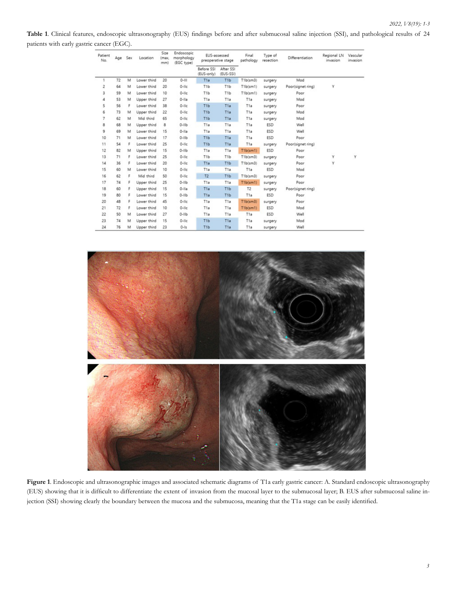**Table 1**. Clinical features, endoscopic ultrasonography (EUS) findings before and after submucosal saline injection (SSI), and pathological results of 24 patients with early gastric cancer (EGC).

| Patient<br>No. | Age | Sex | Location    | Size<br>(max.<br>mm) | Endoscopic<br>morphology<br>(EGC type) | EUS-assessed<br>preoperative stage |                        | Final<br>pathology | Type of<br>resection | Differentiation   | Regional LN<br>invasion | Vascular<br>invasion<br>Y |
|----------------|-----|-----|-------------|----------------------|----------------------------------------|------------------------------------|------------------------|--------------------|----------------------|-------------------|-------------------------|---------------------------|
|                |     |     |             |                      |                                        | Before SSI<br>(EUS-only)           | After SSI<br>(EUS-SSI) |                    |                      |                   |                         |                           |
|                | 72  | M   | Lower third | 20                   | $0 - 111$                              | T <sub>1a</sub>                    | T <sub>1</sub> b       | T1b(sm3)           | surgery              | Mod               |                         |                           |
| 2              | 64  | M   | Lower third | 20                   | $0$ -lic                               | T <sub>1b</sub>                    | T <sub>1</sub> b       | T1b(sm1)           | surgery              | Poor(signet ring) | Ϋ                       |                           |
| 3              | 59  | M   | Lower third | 10                   | $0$ -lic                               | T <sub>1</sub> b                   | T <sub>1</sub> b       | T1b(sm1)           | surgery              | Poor              |                         |                           |
| 4              | 53  | M   | Upper third | 27                   | $0-IIa$                                | T1a                                | T1a                    | T1a                | surgery              | Mod               |                         |                           |
| 5              | 56  | F   | Lower third | 38                   | $0$ -lic                               | T <sub>1</sub> b                   | T1a                    | T1a                | surgery              | Poor              |                         |                           |
| 6              | 73  | M   | Upper third | 22                   | $0$ -lic                               | T1b                                | T <sub>1</sub> a       | T <sub>1</sub> a   | surgery              | Mod               |                         |                           |
| 7              | 62  | M   | Mid third   | 65                   | $0$ -lic                               | T <sub>1</sub> b                   | T1a                    | T1a                | surgery              | Mod               |                         |                           |
| 8              | 68  | M   | Upper third | 8                    | $0-IIIb$                               | T1a                                | T1a                    | T1a                | <b>ESD</b>           | Well              |                         |                           |
| 9              | 69  | M   | Lower third | 15                   | $0-11a$                                | T1a                                | T <sub>1</sub> a       | T <sub>1</sub> a   | ESD                  | Well              |                         |                           |
| 10             | 71  | M   | Lower third | 17                   | $0-IIIb$                               | T <sub>1</sub> b                   | T <sub>1</sub> a       | T1a                | <b>ESD</b>           | Poor              |                         |                           |
| 11             | 54  | F   | Lower third | 25                   | $0$ -lic                               | T <sub>1</sub> b                   | T1a                    | T1a                | surgery              | Poor(signet ring) |                         |                           |
| 12             | 82  | M   | Upper third | 15                   | $0-IIIb$                               | T1a                                | T1a                    | T1b(sm1)           | <b>ESD</b>           | Poor              |                         |                           |
| 13             | 71  | F   | Lower third | 25                   | $0-11c$                                | T <sub>1</sub> b                   | T <sub>1</sub> b       | T1b(sm3)           | surgery              | Poor              | Υ                       |                           |
| 14             | 36  | ۴   | Lower third | 20                   | $0$ -lic                               | T1a                                | T <sub>1</sub> b       | T1b(sm3)           | surgery              | Poor              | Υ                       |                           |
| 15             | 60  | M   | Lower third | 10                   | $0$ -lic                               | T <sub>1</sub> a                   | T1a                    | T <sub>1</sub> a   | <b>ESD</b>           | Mod               |                         |                           |
| 16             | 62  | F   | Mid third   | 50                   | $0$ -lic                               | T <sub>2</sub>                     | T <sub>1</sub> b       | T1b(sm3)           | surgery              | Poor              |                         |                           |
| 17             | 74  | F   | Upper third | 25                   | $0-11b$                                | T1a                                | T1a                    | T1b(sm1)           | surgery              | Poor              |                         |                           |
| 18             | 60  | ۴   | Upper third | 15                   | $0-11a$                                | T1a                                | T <sub>1</sub> b       | T <sub>2</sub>     | surgery              | Poor(signet ring) |                         |                           |
| 19             | 80  | F   | Lower third | 15                   | $0-11b$                                | T <sub>1</sub> a                   | T <sub>1</sub> b       | T <sub>1</sub> a   | <b>ESD</b>           | Poor              |                         |                           |
| 20             | 48  | F   | Lower third | 45                   | $0$ -lic                               | T1a                                | T1a                    | T1b(sm3)           | surgery              | Poor              |                         |                           |
| 21             | 72  | F   | Lower third | 10                   | $0$ -lic                               | T1a                                | T1a                    | T1b(sm1)           | <b>ESD</b>           | Mod               |                         |                           |
| 22             | 50  | M   | Lower third | 27                   | $0-11b$                                | T1a                                | T1a                    | T1a                | ESD                  | Well              |                         |                           |
| 23             | 74  | M   | Upper third | 15                   | $0$ -lic                               | T <sub>1</sub> b                   | T1a                    | T1a                | surgery              | Mod               |                         |                           |
| 24             | 76  | м   | Upper third | 23                   | $0-15$                                 | T <sub>1</sub> b                   | T <sub>1a</sub>        | T1a                | surgery              | Well              |                         |                           |



**Figure 1**. Endoscopic and ultrasonographic images and associated schematic diagrams of T1a early gastric cancer: A. Standard endoscopic ultrasonography (EUS) showing that it is difficult to differentiate the extent of invasion from the mucosal layer to the submucosal layer; B. EUS after submucosal saline injection (SSI) showing clearly the boundary between the mucosa and the submucosa, meaning that the T1a stage can be easily identified.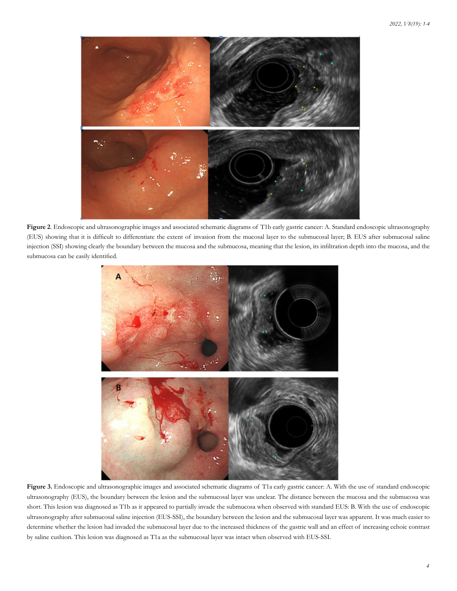

**Figure 2**. Endoscopic and ultrasonographic images and associated schematic diagrams of T1b early gastric cancer: A. Standard endoscopic ultrasonography (EUS) showing that it is difficult to differentiate the extent of invasion from the mucosal layer to the submucosal layer; B. EUS after submucosal saline injection (SSI) showing clearly the boundary between the mucosa and the submucosa, meaning that the lesion, its infiltration depth into the mucosa, and the submucosa can be easily identified.



**Figure 3.** Endoscopic and ultrasonographic images and associated schematic diagrams of T1a early gastric cancer: A. With the use of standard endoscopic ultrasonography (EUS), the boundary between the lesion and the submucosal layer was unclear. The distance between the mucosa and the submucosa was short. This lesion was diagnosed as T1b as it appeared to partially invade the submucosa when observed with standard EUS: B. With the use of endoscopic ultrasonography after submucosal saline injection (EUS-SSI), the boundary between the lesion and the submucosal layer was apparent. It was much easier to determine whether the lesion had invaded the submucosal layer due to the increased thickness of the gastric wall and an effect of increasing echoic contrast by saline cushion. This lesion was diagnosed as T1a as the submucosal layer was intact when observed with EUS-SSI.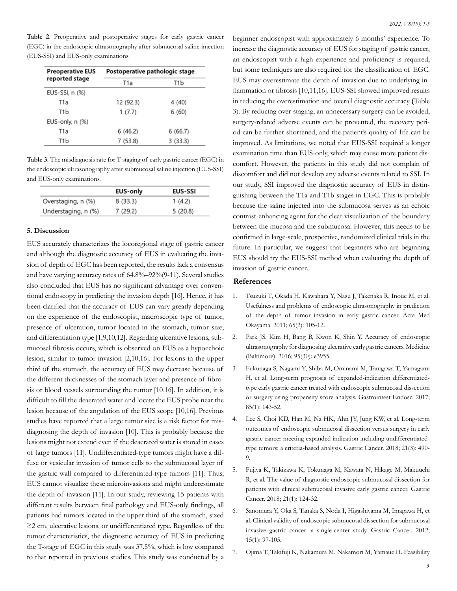**Table 2**. Preoperative and postoperative stages for early gastric cancer (EGC) in the endoscopic ultrasonography after submucosal saline injection (EUS-SSI) and EUS-only examinations

| <b>Preoperative EUS</b> | Postoperative pathologic stage |         |  |  |  |
|-------------------------|--------------------------------|---------|--|--|--|
| reported stage          | T1a                            | T1b     |  |  |  |
| EUS-SSI, n (%)          |                                |         |  |  |  |
| T <sub>1</sub> a        | 12 (92.3)                      | 4 (40)  |  |  |  |
| T <sub>1</sub> b        | 1(7.7)                         | 6(60)   |  |  |  |
| EUS-only, n (%)         |                                |         |  |  |  |
| T <sub>1</sub> a        | 6(46.2)                        | 6(66.7) |  |  |  |
| T1b                     | 7(53.8)                        | 3(33.3) |  |  |  |

**Table 3**. The misdiagnosis rate for T staging of early gastric cancer (EGC) in the endoscopic ultrasonography after submucosal saline injection (EUS-SSI) and EUS-only examinations.

|                     | <b>EUS-only</b> | <b>EUS-SSI</b> |
|---------------------|-----------------|----------------|
| Overstaging, n (%)  | 8(33.3)         | 1(4.2)         |
| Understaging, n (%) | 7(29.2)         | 5(20.8)        |

#### **5. Discussion**

EUS accurately characterizes the locoregional stage of gastric cancer and although the diagnostic accuracy of EUS in evaluating the invasion of depth of EGC has been reported, the results lack a consensus and have varying accuracy rates of 64.8%–92%(9-11). Several studies also concluded that EUS has no significant advantage over conventional endoscopy in predicting the invasion depth [16]. Hence, it has been clarified that the accuracy of EUS can vary greatly depending on the experience of the endoscopist, macroscopic type of tumor, presence of ulceration, tumor located in the stomach, tumor size, and differentiation type [1,9,10,12]. Regarding ulcerative lesions, submucosal fibrosis occurs, which is observed on EUS as a hypoechoic lesion, similar to tumor invasion [2,10,16]. For lesions in the upper third of the stomach, the accuracy of EUS may decrease because of the different thicknesses of the stomach layer and presence of fibrosis or blood vessels surrounding the tumor [10,16]. In addition, it is difficult to fill the deaerated water and locate the EUS probe near the lesion because of the angulation of the EUS scope [10,16]. Previous studies have reported that a large tumor size is a risk factor for misdiagnosing the depth of invasion [10]. This is probably because the lesions might not extend even if the deaerated water is stored in cases of large tumors [11]. Undifferentiated-type tumors might have a diffuse or vesicular invasion of tumor cells to the submucosal layer of the gastric wall compared to differentiated-type tumors [11]. Thus, EUS cannot visualize these microinvasions and might underestimate the depth of invasion [11]. In our study, reviewing 15 patients with different results between final pathology and EUS-only findings, all patients had tumors located in the upper third of the stomach, sized ≥2 cm, ulcerative lesions, or undifferentiated type. Regardless of the tumor characteristics, the diagnostic accuracy of EUS in predicting the T-stage of EGC in this study was 37.5%, which is low compared to that reported in previous studies. This study was conducted by a

beginner endoscopist with approximately 6 months' experience. To increase the diagnostic accuracy of EUS for staging of gastric cancer, an endoscopist with a high experience and proficiency is required, but some techniques are also required for the classification of EGC. EUS may overestimate the depth of invasion due to underlying inflammation or fibrosis [10,11,16]. EUS-SSI showed improved results in reducing the overestimation and overall diagnostic accuracy **(**Table 3). By reducing over-staging, an unnecessary surgery can be avoided, surgery-related adverse events can be prevented, the recovery period can be further shortened, and the patient's quality of life can be improved. As limitations, we noted that EUS-SSI required a longer examination time than EUS-only, which may cause more patient discomfort. However, the patients in this study did not complain of discomfort and did not develop any adverse events related to SSI. In our study, SSI improved the diagnostic accuracy of EUS in distinguishing between the T1a and T1b stages in EGC. This is probably because the saline injected into the submucosa serves as an echoic contrast-enhancing agent for the clear visualization of the boundary between the mucosa and the submucosa. However, this needs to be confirmed in large-scale, prospective, randomized clinical trials in the future. In particular, we suggest that beginners who are beginning EUS should try the EUS-SSI method when evaluating the depth of invasion of gastric cancer.

#### **References**

- 1. [Tsuzuki T, Okada H, Kawahara Y, Nasu J, Takenaka](https://pubmed.ncbi.nlm.nih.gov/21519368/) R, Inoue M, et al. [Usefulness and problems of endoscopic ultrasonography in prediction](https://pubmed.ncbi.nlm.nih.gov/21519368/)  [of the depth of tumor invasion in early gastric cancer. Acta Med](https://pubmed.ncbi.nlm.nih.gov/21519368/) [Okayama. 2011; 65\(2\): 105-12.](https://pubmed.ncbi.nlm.nih.gov/21519368/)
- 2. [Park JS, Kim H, Bang B, Kwon K, Shin Y. Accuracy of endoscopic](https://www.ncbi.nlm.nih.gov/pmc/articles/PMC5265809/) [ultrasonography for diagnosing ulcerative early gastric cancers. Medicine](https://www.ncbi.nlm.nih.gov/pmc/articles/PMC5265809/) [\(Baltimore\). 2016; 95\(30\): e3955.](https://www.ncbi.nlm.nih.gov/pmc/articles/PMC5265809/)
- 3. [Fukunaga S, Nagami Y, Shiba M, Ominami M, Tanigawa T, Yamagami](https://pubmed.ncbi.nlm.nih.gov/27365265/)  [H, et al. Long-term prognosis of expanded-indication differentiated](https://pubmed.ncbi.nlm.nih.gov/27365265/)[type early gastric cancer treated with endoscopic submucosal dissection](https://pubmed.ncbi.nlm.nih.gov/27365265/) [or surgery using propensity score analysis. Gastrointest Endosc. 2017;](https://pubmed.ncbi.nlm.nih.gov/27365265/) [85\(1\): 143-52.](https://pubmed.ncbi.nlm.nih.gov/27365265/)
- Lee S, Choi KD, Han M, Na HK, Ahn JY, Jung KW, et al. Long-term [outcomes of endoscopic submucosal dissection versus surgery in early](https://pubmed.ncbi.nlm.nih.gov/29052052/) [gastric cancer meeting expanded indication including undifferentiated](https://pubmed.ncbi.nlm.nih.gov/29052052/)[type tumors: a criteria-based analysis. Gastric Cancer. 2018; 21\(3\): 490-](https://pubmed.ncbi.nlm.nih.gov/29052052/) [9.](https://pubmed.ncbi.nlm.nih.gov/29052052/)
- 5. [Fujiya K, Takizawa K, Tokunaga M, Kawata N, Hikage M, Makuuchi](https://pubmed.ncbi.nlm.nih.gov/28484889/)  [R, et al. The value of diagnostic endoscopic submucosal dissection for](https://pubmed.ncbi.nlm.nih.gov/28484889/)  [patients with clinical submucosal invasive early gastric cancer. Gastric](https://pubmed.ncbi.nlm.nih.gov/28484889/) [Cancer. 2018; 21\(1\): 124-32.](https://pubmed.ncbi.nlm.nih.gov/28484889/)
- 6. [Sanomura Y, Oka S, Tanaka S, Noda I, Higashiyama M, Imagawa H, et](https://pubmed.ncbi.nlm.nih.gov/21785925/) [al. Clinical validity of endoscopic submucosal dissection for submucosal](https://pubmed.ncbi.nlm.nih.gov/21785925/) [invasive gastric cancer: a single-center study. Gastric Cancer. 2012;](https://pubmed.ncbi.nlm.nih.gov/21785925/) [15\(1\): 97-105.](https://pubmed.ncbi.nlm.nih.gov/21785925/)
- 7. [Ojima T, Takifuji K, Nakamura M, Nakamori M, Yamaue H. Feasibility](https://pubmed.ncbi.nlm.nih.gov/27636148/)